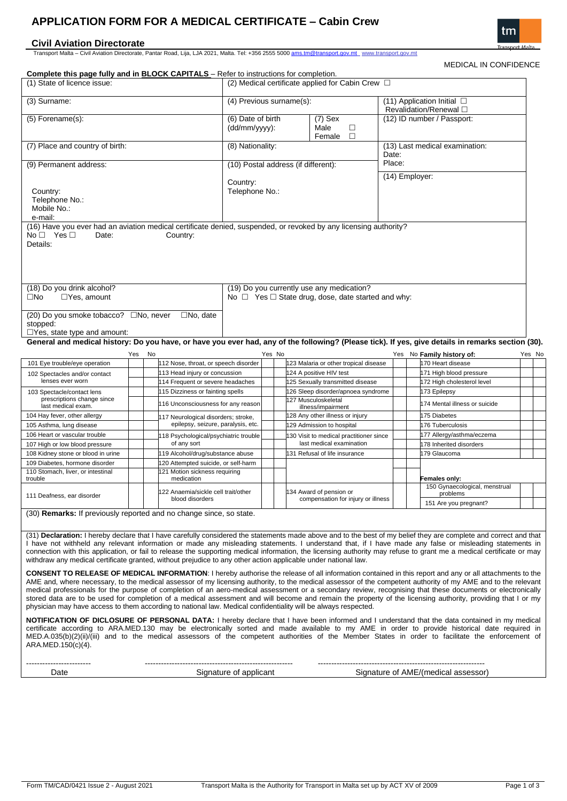# **APPLICATION FORM FOR A MEDICAL CERTIFICATE – Cabin Crew**

## **Civil Aviation Directorate**

Transport Malta – Civil Aviation Directorate, Pantar Road, Lija, LJA 2021, Malta. Tel: +356 2555 5000 [ams.tm@transport.gov.mt](mailto:ams.tm@transport.gov.mt) www.transport.gov.mt

tm

| <b>Complete this page fully and in BLOCK CAPITALS</b> - Refer to instructions for completion.                                                                                                                                                                                                                                                                                                                                                                                                                                                                                                                                                                                                                                                                                    |                                                                   |                                                       |                                                      |                                                                                                           |                                                            |                                                                     |                                                 |                                                       |                                                      | <b>MEDICAL IN CONFIDENCE</b>                               |        |  |  |  |  |
|----------------------------------------------------------------------------------------------------------------------------------------------------------------------------------------------------------------------------------------------------------------------------------------------------------------------------------------------------------------------------------------------------------------------------------------------------------------------------------------------------------------------------------------------------------------------------------------------------------------------------------------------------------------------------------------------------------------------------------------------------------------------------------|-------------------------------------------------------------------|-------------------------------------------------------|------------------------------------------------------|-----------------------------------------------------------------------------------------------------------|------------------------------------------------------------|---------------------------------------------------------------------|-------------------------------------------------|-------------------------------------------------------|------------------------------------------------------|------------------------------------------------------------|--------|--|--|--|--|
| (1) State of licence issue:                                                                                                                                                                                                                                                                                                                                                                                                                                                                                                                                                                                                                                                                                                                                                      |                                                                   | (2) Medical certificate applied for Cabin Crew $\Box$ |                                                      |                                                                                                           |                                                            |                                                                     |                                                 |                                                       |                                                      |                                                            |        |  |  |  |  |
| (3) Surname:                                                                                                                                                                                                                                                                                                                                                                                                                                                                                                                                                                                                                                                                                                                                                                     |                                                                   |                                                       |                                                      | (4) Previous surname(s):                                                                                  |                                                            |                                                                     |                                                 | (11) Application Initial □<br>Revalidation/Renewal □  |                                                      |                                                            |        |  |  |  |  |
| $(5)$ Forename $(s)$ :                                                                                                                                                                                                                                                                                                                                                                                                                                                                                                                                                                                                                                                                                                                                                           |                                                                   |                                                       |                                                      | (6) Date of birth<br>(dd/mm/yyyy):                                                                        |                                                            |                                                                     | $(7)$ Sex<br>$\Box$<br>Male<br>$\Box$<br>Female |                                                       | (12) ID number / Passport:                           |                                                            |        |  |  |  |  |
| (7) Place and country of birth:                                                                                                                                                                                                                                                                                                                                                                                                                                                                                                                                                                                                                                                                                                                                                  |                                                                   |                                                       |                                                      | (8) Nationality:                                                                                          |                                                            |                                                                     |                                                 |                                                       | (13) Last medical examination:<br>Date:              |                                                            |        |  |  |  |  |
| (9) Permanent address:                                                                                                                                                                                                                                                                                                                                                                                                                                                                                                                                                                                                                                                                                                                                                           |                                                                   |                                                       |                                                      | (10) Postal address (if different):                                                                       |                                                            |                                                                     |                                                 | Place:                                                |                                                      |                                                            |        |  |  |  |  |
| Country:<br>Telephone No.:<br>Mobile No.:<br>e-mail:                                                                                                                                                                                                                                                                                                                                                                                                                                                                                                                                                                                                                                                                                                                             |                                                                   |                                                       |                                                      | Country:<br>Telephone No.:                                                                                |                                                            |                                                                     | (14) Employer:                                  |                                                       |                                                      |                                                            |        |  |  |  |  |
| (16) Have you ever had an aviation medical certificate denied, suspended, or revoked by any licensing authority?<br>$No \Box$ Yes $\Box$<br>Date:<br>Details:                                                                                                                                                                                                                                                                                                                                                                                                                                                                                                                                                                                                                    |                                                                   |                                                       | Country:                                             |                                                                                                           |                                                            |                                                                     |                                                 |                                                       |                                                      |                                                            |        |  |  |  |  |
| (18) Do you drink alcohol?<br>$\Box$ Yes, amount<br>$\square$ No                                                                                                                                                                                                                                                                                                                                                                                                                                                                                                                                                                                                                                                                                                                 |                                                                   |                                                       |                                                      | (19) Do you currently use any medication?<br>No $\Box$ Yes $\Box$ State drug, dose, date started and why: |                                                            |                                                                     |                                                 |                                                       |                                                      |                                                            |        |  |  |  |  |
| (20) Do you smoke tobacco? □No, never<br>stopped:<br>$\Box$ Yes, state type and amount:                                                                                                                                                                                                                                                                                                                                                                                                                                                                                                                                                                                                                                                                                          |                                                                   |                                                       | $\Box$ No, date                                      |                                                                                                           |                                                            |                                                                     |                                                 |                                                       |                                                      |                                                            |        |  |  |  |  |
| General and medical history: Do you have, or have you ever had, any of the following? (Please tick). If yes, give details in remarks section (30).                                                                                                                                                                                                                                                                                                                                                                                                                                                                                                                                                                                                                               |                                                                   |                                                       |                                                      |                                                                                                           |                                                            |                                                                     |                                                 |                                                       |                                                      |                                                            |        |  |  |  |  |
|                                                                                                                                                                                                                                                                                                                                                                                                                                                                                                                                                                                                                                                                                                                                                                                  | Yes                                                               | No                                                    |                                                      |                                                                                                           | Yes No                                                     |                                                                     |                                                 |                                                       |                                                      | Yes No Family history of:                                  | Yes No |  |  |  |  |
| 101 Eye trouble/eye operation                                                                                                                                                                                                                                                                                                                                                                                                                                                                                                                                                                                                                                                                                                                                                    | 112 Nose, throat, or speech disorder                              |                                                       |                                                      |                                                                                                           | 123 Malaria or other tropical disease                      |                                                                     |                                                 | 170 Heart disease                                     |                                                      |                                                            |        |  |  |  |  |
| 102 Spectacles and/or contact<br>lenses ever worn                                                                                                                                                                                                                                                                                                                                                                                                                                                                                                                                                                                                                                                                                                                                | 113 Head injury or concussion<br>114 Frequent or severe headaches |                                                       |                                                      |                                                                                                           | 124 A positive HIV test<br>25 Sexually transmitted disease |                                                                     |                                                 | 171 High blood pressure<br>172 High cholesterol level |                                                      |                                                            |        |  |  |  |  |
| 103 Spectacle/contact lens                                                                                                                                                                                                                                                                                                                                                                                                                                                                                                                                                                                                                                                                                                                                                       |                                                                   |                                                       | 115 Dizziness or fainting spells                     |                                                                                                           |                                                            |                                                                     | 126 Sleep disorder/apnoea syndrome              |                                                       |                                                      | 173 Epilepsy                                               |        |  |  |  |  |
| prescriptions change since<br>last medical exam.                                                                                                                                                                                                                                                                                                                                                                                                                                                                                                                                                                                                                                                                                                                                 |                                                                   |                                                       | 116 Unconsciousness for any reason                   |                                                                                                           |                                                            | 127 Musculoskeletal<br>illness/impairment                           |                                                 |                                                       | 174 Mental illness or suicide                        |                                                            |        |  |  |  |  |
| 104 Hay fever, other allergy                                                                                                                                                                                                                                                                                                                                                                                                                                                                                                                                                                                                                                                                                                                                                     |                                                                   |                                                       | 117 Neurological disorders; stroke,                  |                                                                                                           |                                                            | 128 Any other illness or injury                                     |                                                 |                                                       | 175 Diabetes                                         |                                                            |        |  |  |  |  |
| 105 Asthma, lung disease                                                                                                                                                                                                                                                                                                                                                                                                                                                                                                                                                                                                                                                                                                                                                         |                                                                   |                                                       | epilepsy, seizure, paralysis, etc.                   |                                                                                                           |                                                            | 129 Admission to hospital                                           |                                                 |                                                       | 176 Tuberculosis                                     |                                                            |        |  |  |  |  |
| 106 Heart or vascular trouble<br>107 High or low blood pressure                                                                                                                                                                                                                                                                                                                                                                                                                                                                                                                                                                                                                                                                                                                  |                                                                   |                                                       | 118 Psychological/psychiatric trouble<br>of any sort |                                                                                                           |                                                            | 130 Visit to medical practitioner since<br>last medical examination |                                                 |                                                       | 177 Allergy/asthma/eczema<br>178 Inherited disorders |                                                            |        |  |  |  |  |
| 108 Kidney stone or blood in urine                                                                                                                                                                                                                                                                                                                                                                                                                                                                                                                                                                                                                                                                                                                                               |                                                                   |                                                       | 119 Alcohol/drug/substance abuse                     |                                                                                                           |                                                            | 131 Refusal of life insurance                                       |                                                 |                                                       | 179 Glaucoma                                         |                                                            |        |  |  |  |  |
| 109 Diabetes, hormone disorder                                                                                                                                                                                                                                                                                                                                                                                                                                                                                                                                                                                                                                                                                                                                                   |                                                                   |                                                       | 120 Attempted suicide, or self-harm                  |                                                                                                           |                                                            |                                                                     |                                                 |                                                       |                                                      |                                                            |        |  |  |  |  |
| 110 Stomach, liver, or intestinal                                                                                                                                                                                                                                                                                                                                                                                                                                                                                                                                                                                                                                                                                                                                                |                                                                   |                                                       | 121 Motion sickness requiring                        |                                                                                                           |                                                            |                                                                     |                                                 |                                                       |                                                      |                                                            |        |  |  |  |  |
| trouble<br>111 Deafness, ear disorder                                                                                                                                                                                                                                                                                                                                                                                                                                                                                                                                                                                                                                                                                                                                            |                                                                   |                                                       | medication<br>22 Anaemia/sickle cell trait/other     |                                                                                                           |                                                            |                                                                     | 134 Award of pension or                         |                                                       |                                                      | Females only:<br>150 Gynaecological, menstrual<br>problems |        |  |  |  |  |
|                                                                                                                                                                                                                                                                                                                                                                                                                                                                                                                                                                                                                                                                                                                                                                                  |                                                                   |                                                       | blood disorders                                      |                                                                                                           |                                                            | compensation for injury or illness                                  |                                                 |                                                       |                                                      | 151 Are you pregnant?                                      |        |  |  |  |  |
| (30) <b>Remarks:</b> If previously reported and no change since, so state.<br>(31) Declaration: I hereby declare that I have carefully considered the statements made above and to the best of my belief they are complete and correct and that<br>I have not withheld any relevant information or made any misleading statements. I understand that, if I have made any false or misleading statements in<br>connection with this application, or fail to release the supporting medical information, the licensing authority may refuse to grant me a medical certificate or may<br>withdraw any medical certificate granted, without prejudice to any other action applicable under national law.                                                                             |                                                                   |                                                       |                                                      |                                                                                                           |                                                            |                                                                     |                                                 |                                                       |                                                      |                                                            |        |  |  |  |  |
| <b>CONSENT TO RELEASE OF MEDICAL INFORMATION:</b> I hereby authorise the release of all information contained in this report and any or all attachments to the<br>AME and, where necessary, to the medical assessor of my licensing authority, to the medical assessor of the competent authority of my AME and to the relevant<br>medical professionals for the purpose of completion of an aero-medical assessment or a secondary review, recognising that these documents or electronically<br>stored data are to be used for completion of a medical assessment and will become and remain the property of the licensing authority, providing that I or my<br>physician may have access to them according to national law. Medical confidentiality will be always respected. |                                                                   |                                                       |                                                      |                                                                                                           |                                                            |                                                                     |                                                 |                                                       |                                                      |                                                            |        |  |  |  |  |
| <b>NOTIFICATION OF DICLOSURE OF PERSONAL DATA:</b> I hereby declare that I have been informed and I understand that the data contained in my medical<br>certificate according to ARA.MED.130 may be electronically sorted and made available to my AME in order to provide historical date required in<br>MED.A.035(b)(2)(ii)/(iii) and to the medical assessors of the competent authorities of the Member States in order to facilitate the enforcement of<br>ARA.MED.150(c)(4).                                                                                                                                                                                                                                                                                               |                                                                   |                                                       |                                                      |                                                                                                           |                                                            |                                                                     |                                                 |                                                       |                                                      |                                                            |        |  |  |  |  |
|                                                                                                                                                                                                                                                                                                                                                                                                                                                                                                                                                                                                                                                                                                                                                                                  |                                                                   |                                                       |                                                      |                                                                                                           |                                                            |                                                                     |                                                 |                                                       |                                                      |                                                            |        |  |  |  |  |
|                                                                                                                                                                                                                                                                                                                                                                                                                                                                                                                                                                                                                                                                                                                                                                                  |                                                                   |                                                       |                                                      | Signature of applicant                                                                                    |                                                            |                                                                     |                                                 |                                                       |                                                      |                                                            |        |  |  |  |  |
| Date                                                                                                                                                                                                                                                                                                                                                                                                                                                                                                                                                                                                                                                                                                                                                                             |                                                                   |                                                       |                                                      |                                                                                                           |                                                            |                                                                     | Signature of AME/(medical assessor)             |                                                       |                                                      |                                                            |        |  |  |  |  |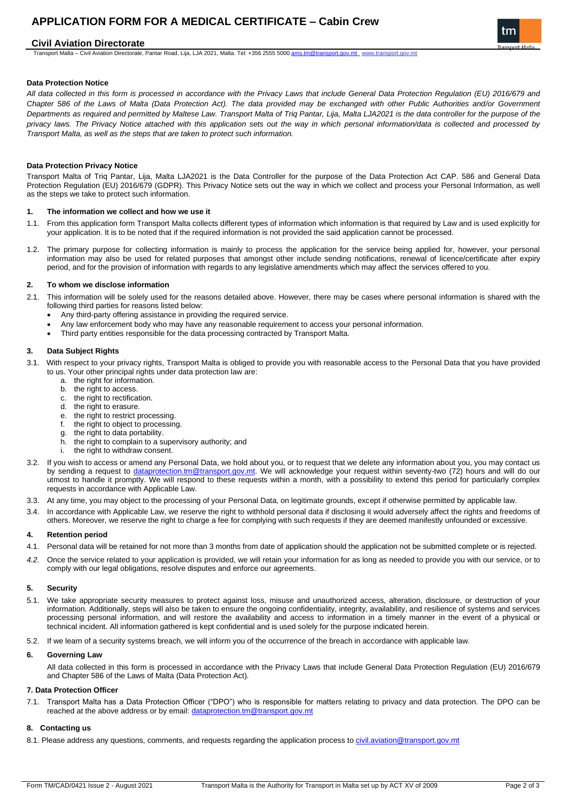# **APPLICATION FORM FOR A MEDICAL CERTIFICATE – Cabin Crew**

### **Civil Aviation Directorate**

Transport Malta - Civil Aviation Directorate, Pantar Road, Lija, LJA 2021, Malta. Tel: +356 2555 5000 [ams.tm@transport.gov.mt](mailto:ams.tm@transport.gov.mt) www.transport.gov.mt

## **Data Protection Notice**

*All data collected in this form is processed in accordance with the Privacy Laws that include General Data Protection Regulation (EU) 2016/679 and Chapter 586 of the Laws of Malta (Data Protection Act). The data provided may be exchanged with other Public Authorities and/or Government Departments as required and permitted by Maltese Law. Transport Malta of Triq Pantar, Lija, Malta LJA2021 is the data controller for the purpose of the privacy laws. The Privacy Notice attached with this application sets out the way in which personal information/data is collected and processed by Transport Malta, as well as the steps that are taken to protect such information.*

#### **Data Protection Privacy Notice**

Transport Malta of Triq Pantar, Lija, Malta LJA2021 is the Data Controller for the purpose of the Data Protection Act CAP. 586 and General Data Protection Regulation (EU) 2016/679 (GDPR). This Privacy Notice sets out the way in which we collect and process your Personal Information, as well as the steps we take to protect such information.

#### **1. The information we collect and how we use it**

- 1.1. From this application form Transport Malta collects different types of information which information is that required by Law and is used explicitly for your application. It is to be noted that if the required information is not provided the said application cannot be processed.
- 1.2. The primary purpose for collecting information is mainly to process the application for the service being applied for, however, your personal information may also be used for related purposes that amongst other include sending notifications, renewal of licence/certificate after expiry period, and for the provision of information with regards to any legislative amendments which may affect the services offered to you.

#### **2. To whom we disclose information**

- 2.1. This information will be solely used for the reasons detailed above. However, there may be cases where personal information is shared with the following third parties for reasons listed below:
	- Any third-party offering assistance in providing the required service.
	- Any law enforcement body who may have any reasonable requirement to access your personal information.
	- Third party entities responsible for the data processing contracted by Transport Malta.

#### **3. Data Subject Rights**

- 3.1. With respect to your privacy rights, Transport Malta is obliged to provide you with reasonable access to the Personal Data that you have provided to us. Your other principal rights under data protection law are:
	- a. the right for information.
	- b. the right to access.
	- c. the right to rectification.
	- d. the right to erasure.
	- e. the right to restrict processing.
	- f. the right to object to processing.
	- g. the right to data portability. the right to complain to a supervisory authority; and
	- the right to withdraw consent.
- 3.2. If you wish to access or amend any Personal Data, we hold about you, or to request that we delete any information about you, you may contact us by sending a request to [dataprotection.tm@transport.gov.mt.](mailto:dataprotection.tm@transport.gov.mt) We will acknowledge your request within seventy-two (72) hours and will do our utmost to handle it promptly. We will respond to these requests within a month, with a possibility to extend this period for particularly complex requests in accordance with Applicable Law.
- 3.3. At any time, you may object to the processing of your Personal Data, on legitimate grounds, except if otherwise permitted by applicable law.
- 3.4. In accordance with Applicable Law, we reserve the right to withhold personal data if disclosing it would adversely affect the rights and freedoms of others. Moreover, we reserve the right to charge a fee for complying with such requests if they are deemed manifestly unfounded or excessive.

#### **4. Retention period**

- 4.1. Personal data will be retained for not more than 3 months from date of application should the application not be submitted complete or is rejected.
- *4.2.* Once the service related to your application is provided, we will retain your information for as long as needed to provide you with our service, or to comply with our legal obligations, resolve disputes and enforce our agreements.

#### **5. Security**

- 5.1. We take appropriate security measures to protect against loss, misuse and unauthorized access, alteration, disclosure, or destruction of your information. Additionally, steps will also be taken to ensure the ongoing confidentiality, integrity, availability, and resilience of systems and services processing personal information, and will restore the availability and access to information in a timely manner in the event of a physical or technical incident. All information gathered is kept confidential and is used solely for the purpose indicated herein.
- 5.2. If we learn of a security systems breach, we will inform you of the occurrence of the breach in accordance with applicable law.

#### **6. Governing Law**

All data collected in this form is processed in accordance with the Privacy Laws that include General Data Protection Regulation (EU) 2016/679 and Chapter 586 of the Laws of Malta (Data Protection Act).

#### **7. Data Protection Officer**

7.1. Transport Malta has a Data Protection Officer ("DPO") who is responsible for matters relating to privacy and data protection. The DPO can be reached at the above address or by email: [dataprotection.tm@transport.gov.mt](mailto:dataprotection.tm@transport.gov.mt)

#### **8. Contacting us**

8.1. Please address any questions, comments, and requests regarding the application process to civil.aviation@transport.gov.mt